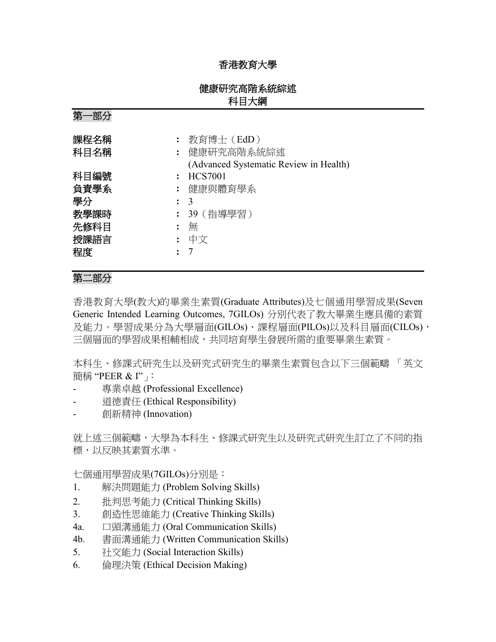## 香港教育大學

## 健康研究高階系統綜述 科目大綱

第一部分

| 課程名稱<br>科目名稱 | 教育博士 (EdD)<br>: 健康研究高階系統綜述<br>(Advanced Systematic Review in Health) |
|--------------|----------------------------------------------------------------------|
| 科目編號         | <b>HCS7001</b>                                                       |
| 負責學系         | : 健康與體育學系                                                            |
| 學分           | $\colon$ 3                                                           |
| 教學課時         | : 39(指導學習)                                                           |
| 先修科目         | 無                                                                    |
| 授課語言         | 中文                                                                   |
| 程度           |                                                                      |

# 第二部分

香港教育大學(教大)的畢業生素質(Graduate Attributes)及七個通用學習成果(Seven Generic Intended Learning Outcomes, 7GILOs) 分別代表了教大畢業生應具備的素質 及能力。學習成果分為大學層面(GILOs)、課程層面(PILOs)以及科目層面(CILOs), 三個層面的學習成果相輔相成,共同培育學生發展所需的重要畢業生素質。

本科生、修課式研究生以及研究式研究生的畢業生素質包含以下三個範疇 「英文 簡稱 "PEER & I"」:

- 專業卓越 (Professional Excellence)
- 道德責任 (Ethical Responsibility)
- 創新精神 (Innovation)

就上述三個範疇,大學為本科生、修課式研究生以及研究式研究生訂立了不同的指 標,以反映其素質水準。

七個通用學習成果(7GILOs)分別是:

- 1. 解決問題能力 (Problem Solving Skills)
- 2. 批判思考能力 (Critical Thinking Skills)
- 3. 創造性思維能力 (Creative Thinking Skills)
- 4a. 口頭溝通能力 (Oral Communication Skills)
- 4b. 書面溝通能力 (Written Communication Skills)
- 5. 社交能力 (Social Interaction Skills)
- 6. 倫理決策 (Ethical Decision Making)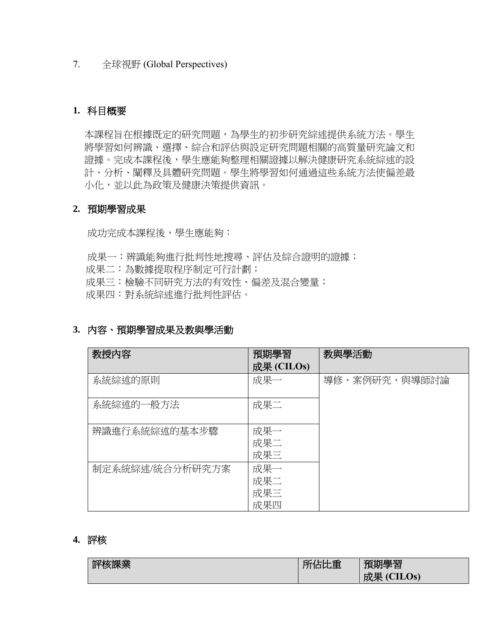#### 7. 全球視野 (Global Perspectives)

## **1.** 科目概要

本課程旨在根據既定的研究問題,為學生的初步研究綜述提供系統方法。學生 將學習如何辨識、選擇、綜合和評估與設定研究問題相關的高質量研究論文和 證據。完成本課程後,學生應能夠整理相關證據以解決健康研究系統綜述的設 計、分析、闡釋及具體研究問題。學生將學習如何通過這些系統方法使偏差最 小化,並以此為政策及健康決策提供資訊。

#### **2.** 預期學習成果

成功完成本課程後,學生應能夠:

成果一:辨識能夠進行批判性地搜尋、評估及綜合證明的證據;

成果二:為數據提取程序制定可行計劃;

成果三:檢驗不同研究方法的有效性、偏差及混合變量;

成果四:對系統綜述進行批判性評估。

#### **3.** 內容、預期學習成果及教與學活動

| 教授内容            | 預期學習<br>成果 (CILOs)       | 教與學活動         |
|-----------------|--------------------------|---------------|
| 系統綜述的原則         | 成果一                      | 導修、案例研究、與導師討論 |
| 系統綜述的一般方法       | 成果二                      |               |
| 辨識進行系統綜述的基本步驟   | 成果一<br>成果二<br>成果三        |               |
| 制定系統綜述/統合分析研究方案 | 成果一<br>成果二<br>成果三<br>成果四 |               |

#### **4.** 評核

| علاد س<br>п,<br>ヘフド<br>$\mathbf{A}$ | ╱□里 | 曲壆習<br>THE .   |
|-------------------------------------|-----|----------------|
|                                     |     | 成果 (C<br>CLLOS |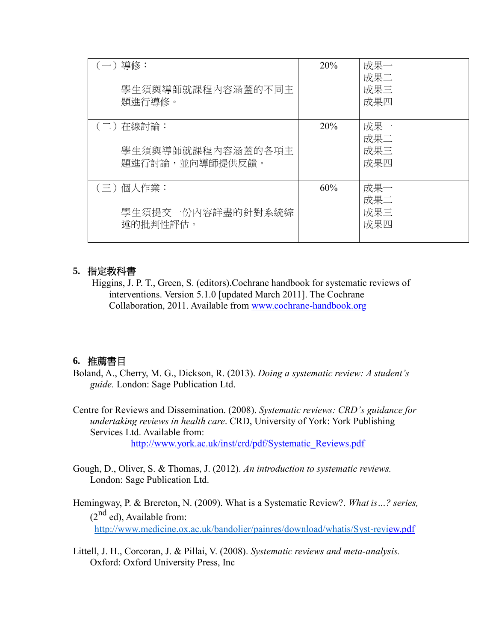| (一) 導修:<br>學生須與導師就課程內容涵蓋的不同主<br>題進行導修。            | 20% | 成果一<br>成果二<br>成果三<br>成果四 |
|---------------------------------------------------|-----|--------------------------|
| (二) 在線討論:<br>學生須與導師就課程內容涵蓋的各項主<br>題進行討論,並向導師提供反饋。 | 20% | 成果一<br>成果二<br>成果三<br>成果四 |
| (三)個人作業:<br>學生須提交一份內容詳盡的針對系統綜<br>述的批判性評估。         | 60% | 成果一<br>成果二<br>成果三<br>成果四 |

# **5.** 指定教科書

Higgins, J. P. T., Green, S. (editors).Cochrane handbook for systematic reviews of interventions. Version 5.1.0 [updated March 2011]. The Cochrane Collaboration, 2011. Available from [www.cochrane-handbook.org](http://www.cochrane-handbook.org/)

# **6.** 推薦書目

Boland, A., Cherry, M. G., Dickson, R. (2013). *Doing a systematic review: A student's guide.* London: Sage Publication Ltd.

Centre for Reviews and Dissemination. (2008). *Systematic reviews: CRD's guidance for undertaking reviews in health care*. CRD, University of York: York Publishing Services Ltd. Available from: [http://www.york.ac.uk/inst/crd/pdf/Systematic\\_Reviews.pdf](http://www.york.ac.uk/inst/crd/pdf/Systematic_Reviews.pdf)

- Gough, D., Oliver, S. & Thomas, J. (2012). *An introduction to systematic reviews.*  London: Sage Publication Ltd.
- Hemingway, P. & Brereton, N. (2009). What is a Systematic Review?. *What is…? series,*   $(2^{nd}$  ed), Available from: [http://www.medicine.ox.ac.uk/bandolier/painres/download/whatis/Syst-review.pdf](http://www.medicine.ox.ac.uk/bandolier/painres/download/whatis/Syst-revi)
- Littell, J. H., Corcoran, J. & Pillai, V. (2008). *Systematic reviews and meta-analysis.*  Oxford: Oxford University Press, Inc